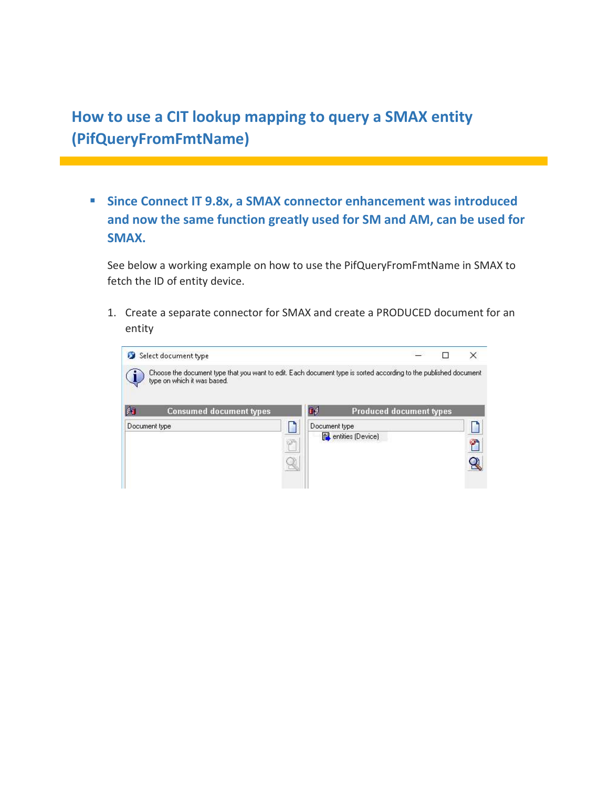How to use a CIT lookup mapping to query a SMAX entity (PifQueryFromFmtName)

**Since Connect IT 9.8x, a SMAX connector enhancement was introduced** and now the same function greatly used for SM and AM, can be used for SMAX.

See below a working example on how to use the PifQueryFromFmtName in SMAX to fetch the ID of entity device.

1. Create a separate connector for SMAX and create a PRODUCED document for an entity

| Select document type<br>type on which it was based. |               | Choose the document type that you want to edit. Each document type is sorted according to the published document |  |
|-----------------------------------------------------|---------------|------------------------------------------------------------------------------------------------------------------|--|
|                                                     |               |                                                                                                                  |  |
| 闭<br><b>Consumed document types</b>                 | ſ.∮           | <b>Produced document types</b>                                                                                   |  |
| Document type                                       | Document type |                                                                                                                  |  |
|                                                     |               | entities (Device)                                                                                                |  |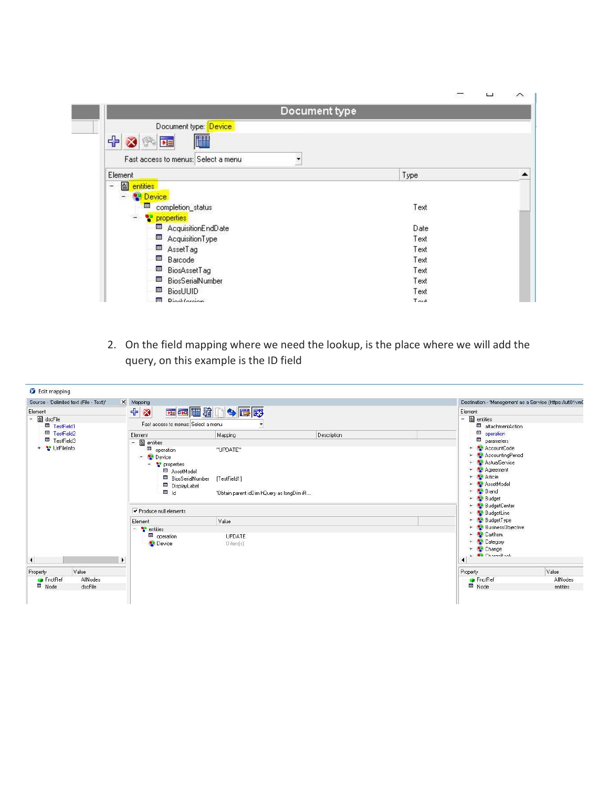|                                          | <b>COL</b> |  |
|------------------------------------------|------------|--|
| Document type                            |            |  |
| Document type: Device                    |            |  |
| 中文<br>$\mathbb{S}^3$<br>进士<br>神话         |            |  |
| Fast access to menus; Select a menu<br>۰ |            |  |
| Element                                  | Type       |  |
| 图 entities<br>$\overline{a}$             |            |  |
| <b>N</b> Device                          |            |  |
| 囲<br>completion_status                   | Text       |  |
| ٢<br>properties                          |            |  |
| AcquisitionEndDate                       | Date       |  |
| 囲<br>AcquisitionType                     | Text       |  |
| 匣<br>AssetTag                            | Text       |  |
| 囲<br>Barcode                             | Text       |  |
| 囲<br>BiosAssetTag                        | Text       |  |
| 團<br>BiosSerialNumber                    | Text       |  |
| 国<br><b>BiosUUID</b>                     | Text       |  |
| Diag <i>theright</i><br>田                | $T \sim t$ |  |

2. On the field mapping where we need the lookup, is the place where we will add the query, on this example is the ID field

| Source - 'Delimited text (File - Text)'                             | X Mapping                           |                                           |                                          | Destination - 'Management as a Service (https://ult01vmD |                                               |  |  |
|---------------------------------------------------------------------|-------------------------------------|-------------------------------------------|------------------------------------------|----------------------------------------------------------|-----------------------------------------------|--|--|
| Element                                                             | + 3                                 | 西西西增门今西野                                  |                                          | Element                                                  |                                               |  |  |
| - 图 dscFile                                                         |                                     |                                           |                                          | $ \blacksquare$ entities                                 |                                               |  |  |
| <b>El</b> TestField1                                                | Fast access to menus: Select a menu |                                           |                                          | attachmentAction                                         |                                               |  |  |
| <b>ED</b> TestField2                                                | Element                             | Mapping                                   | Description                              | <b>BB</b><br>operation<br>parameters                     |                                               |  |  |
| <b>四</b> TestField3                                                 | entities<br>$-$ .                   |                                           |                                          |                                                          |                                               |  |  |
| + PullFileInfo                                                      | operation                           | "UPDATE"                                  |                                          | AccountCode                                              |                                               |  |  |
|                                                                     | Device<br>$\sim$                    |                                           | AccountingPeriod                         |                                                          |                                               |  |  |
| $\frac{1}{2}$ properties<br>AssetModel<br><b>B</b> BiosSerialNumber |                                     |                                           |                                          | ActualService                                            |                                               |  |  |
|                                                                     |                                     |                                           |                                          | Agreement<br><b>Article</b><br>$+$                       |                                               |  |  |
|                                                                     |                                     | [TestField1]                              |                                          |                                                          |                                               |  |  |
|                                                                     | DisplayLabel                        |                                           |                                          | AssetModel                                               |                                               |  |  |
|                                                                     | 回 1d                                | 'Obtain parent idDim hQuery as longDim iR |                                          | <b>Brand</b>                                             |                                               |  |  |
|                                                                     |                                     |                                           |                                          | <b>Budget</b><br>$+$                                     |                                               |  |  |
|                                                                     | Produce null elements               |                                           | <b>BudgetCenter</b><br><b>BudgetLine</b> |                                                          |                                               |  |  |
|                                                                     | Element                             |                                           | Value                                    |                                                          | <b>BudgetType</b><br><b>BusinessObjective</b> |  |  |
|                                                                     | $ \frac{10}{6}$ entities            |                                           |                                          |                                                          |                                               |  |  |
|                                                                     | operation                           | <b>UPDATE</b>                             |                                          | <b>Cartitem</b>                                          |                                               |  |  |
|                                                                     | Device                              | $0$ item( $s$ )                           |                                          | <sup>8</sup> Category                                    |                                               |  |  |
|                                                                     |                                     |                                           |                                          | <sup>2</sup> Change<br>$+$                               |                                               |  |  |
|                                                                     |                                     |                                           |                                          | <b>BB</b> Characteral                                    |                                               |  |  |
| $\left  \right $                                                    | $\blacktriangleright$               |                                           |                                          | ◀                                                        |                                               |  |  |
| Value<br>Property                                                   |                                     |                                           |                                          | Property                                                 | Value                                         |  |  |
| FnctRef<br>AllNodes                                                 |                                     |                                           |                                          | <b>P</b> FnctRef                                         | AllNodes                                      |  |  |
| El Node<br>dscFile                                                  |                                     |                                           |                                          | <b>□</b> Node                                            | entities                                      |  |  |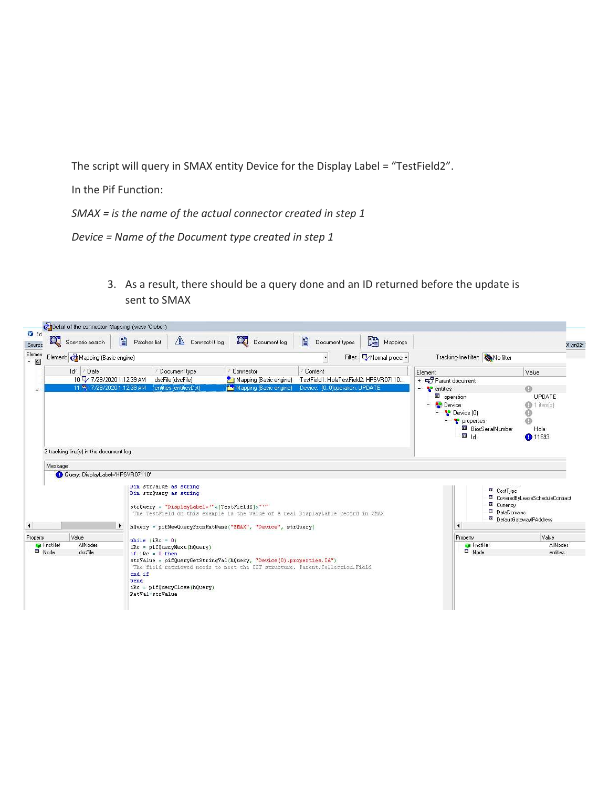The script will query in SMAX entity Device for the Display Label = "TestField2".

In the Pif Function:

SMAX = is the name of the actual connector created in step 1

Device = Name of the Document type created in step 1

3. As a result, there should be a query done and an ID returned before the update is sent to SMAX

| $\mathbf{Q}$<br>Scenario search        | 閶<br>$\mathbb{A}$<br>Patches list | Q Document log<br>Connect-It log                                                                                                                                                                                                                     | 閶                              | Document types | 飅<br>Mappings                                |                                                                       |                            |                                                         |
|----------------------------------------|-----------------------------------|------------------------------------------------------------------------------------------------------------------------------------------------------------------------------------------------------------------------------------------------------|--------------------------------|----------------|----------------------------------------------|-----------------------------------------------------------------------|----------------------------|---------------------------------------------------------|
| Element: Mapping (Basic engine)        |                                   |                                                                                                                                                                                                                                                      | $\overline{\phantom{a}}$       |                | Filter: 吗 Normal proces ▼                    | Tracking-line filter: No filter                                       |                            |                                                         |
| Id/<br>/ Date                          | Document type                     | Connector                                                                                                                                                                                                                                            | Content                        |                |                                              | Element                                                               |                            | Value                                                   |
| 10 号/ 7/29/2020 1:12:39 AM             | dscFile (dscFile)                 | Mapping [Basic engine]                                                                                                                                                                                                                               |                                |                | TestField1: HolaTestField2: HPSVR07110       | + EP Parent document                                                  |                            |                                                         |
| 11 号/ 7/29/2020 1:12:39 AM             | entities (entitiesDst)            | Mapping (Basic engine)                                                                                                                                                                                                                               | Device: [0.0]operation: UPDATE |                |                                              | Ξ.<br><b>P</b> entities                                               |                            | ⋒                                                       |
| 2 tracking line(s) in the document log |                                   |                                                                                                                                                                                                                                                      |                                |                |                                              | operation<br>Device<br>Device [0]<br>$ \frac{10}{2}$ properties<br>国日 | <b>ED</b> BiosSerialNumber | <b>UPDATE</b><br>1 item(s)<br>ø<br>Ō<br>Hola<br>↑ 11693 |
| Query: DisplayLabel='HPSVR07110'       | ▸                                 | Dim strvalue as string<br>Dim strQuery as string<br>strQuery = "DisplayLabel='"&[TestField2]&"'"<br>'The TestField on this example is the value of a real DisplayLable record in SMAX<br>hQuery = pifNewQueryFromFmtName("SMAX", "Device", strQuery) |                                |                | CostType<br><b>E</b> Currency<br>DataDomains | E CoveredByLeaseScheduleContract<br><b>ED</b> DefaultGatewavlPAddress |                            |                                                         |
|                                        |                                   |                                                                                                                                                                                                                                                      |                                |                |                                              | Property                                                              |                            | Value                                                   |
| Value<br>Property                      | while $(iRc = 0)$                 |                                                                                                                                                                                                                                                      |                                |                |                                              |                                                                       | FnctRef                    | AllNodes                                                |